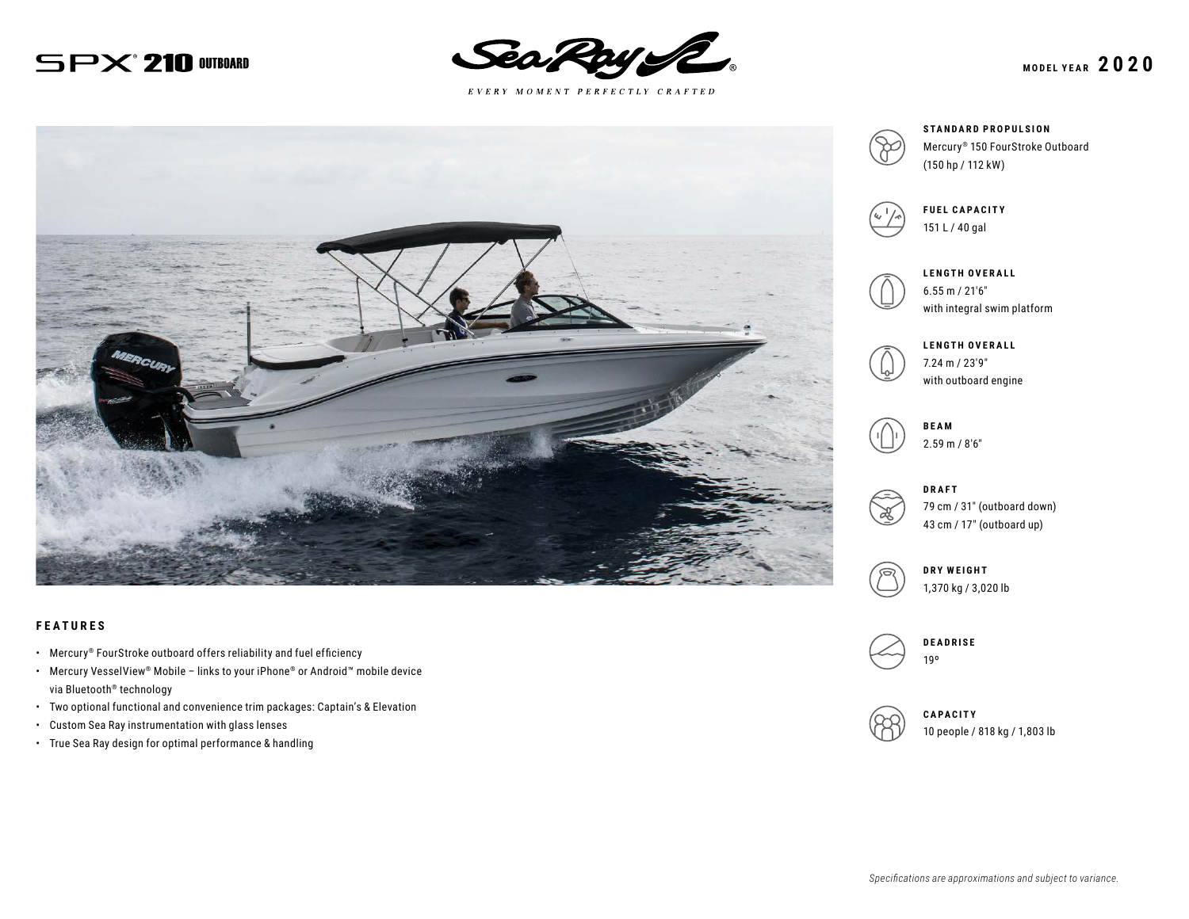# $SPX$ <sup>210</sub> Outboard</sup>



 $E \; V \; E \; R \; Y \quad M \; O \; M \; E \; N \; T \quad P \; E \; R \; F \; E \; C \; T \; L \; Y \quad C \; R \; A \; F \; T \; E \; D$ 



#### **FEATURES**

- Mercury® FourStroke outboard offers reliability and fuel efficiency
- Mercury VesselView® Mobile links to your iPhone® or Android™ mobile device via Bluetooth® technology
- Two optional functional and convenience trim packages: Captain's & Elevation
- Custom Sea Ray instrumentation with glass lenses
- True Sea Ray design for optimal performance & handling



**STANDARD PROPULSION** Mercury® 150 FourStroke Outboard (150 hp / 112 kW)



**FUEL CAPACITY** 151 L / 40 gal



**LENGTH OVERALL** 6.55 m / 21′6″ with integral swim platform



**LENGTH OVERALL** 7.24 m / 23′9″ with outboard engine

**BEAM** 2.59 m / 8′6″



79 cm / 31″ (outboard down) 43 cm / 17″ (outboard up)



1,370 kg / 3,020 lb



**CAPACITY** 10 people / 818 kg / 1,803 lb